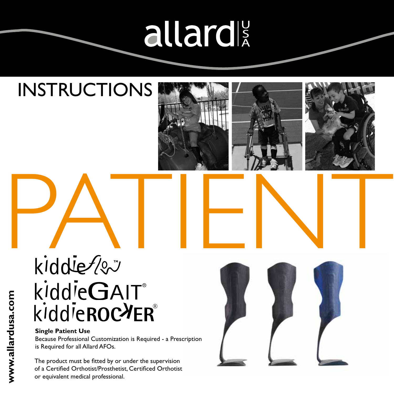# allard

# INSTRUCTIONS



Because Professional Customization is Required - a Prescription is Required for all Allard AFOs.

The product must be fitted by or under the supervision of a Certified Orthotist/Prosthetist, Certificed Orthotist or equivalent medical professional.





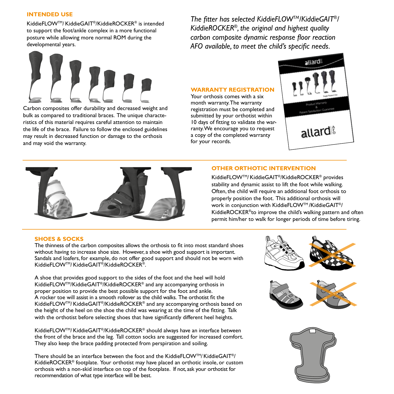# **INTENDED USE**

KiddieFLOWTM/KiddieGAIT®/KiddieROCKER® is intended to support the foot/ankle complex in a more functional posture while allowing more normal ROM during the developmental years.

*The fitter has selected KiddieFLOWTM/KiddieGAIT®/ KiddieROCKER®, the original and highest quality carbon composite dynamic response floor reaction AFO available, to meet the child's specific needs.*



Carbon composites offer durability and decreased weight and bulk as compared to traditional braces. The unique characteristics of this material requires careful attention to maintain the life of the brace. Failure to follow the enclosed guidelines may result in decreased function or damage to the orthosis and may void the warranty.

# **WARRANTY REGISTRATION**

Your orthosis comes with a six month warranty. The warranty registration must be completed and submitted by your orthotist within 10 days of fitting to validate the warranty. We encourage you to request a copy of the completed warranty for your records.





# **OTHER ORTHOTIC INTERVENTION**

KiddieFLOWTM/KiddieGAIT®/KiddieROCKER® provides stability and dynamic assist to lift the foot while walking. Often, the child will require an additional foot orthosis to properly position the foot. This additional orthosis will work in conjunction with KiddieFLOW™/KiddieGAIT<sup>®</sup>/ KiddieROCKER®to improve the child's walking pattern and often permit him/her to walk for longer periods of time before tiring.

# **SHOES & SOCKS**

The thinness of the carbon composites allows the orthosis to fit into most standard shoes without having to increase shoe size. However, a shoe with good support is important. Sandals and loafers, for example, do not offer good support and should not be worn with KiddieFLOWTM/KiddieGAIT®/KiddieROCKER®.

A shoe that provides good support to the sides of the foot and the heel will hold KiddieFLOWTM/KiddieGAIT®/KiddieROCKER® and any accompanying orthosis in proper position to provide the best possible support for the foot and ankle. A rocker toe will assist in a smooth rollover as the child walks. The orthotist fit the KiddieFLOW™/KiddieGAIT®/KiddieROCKER® and any accompanying orthosis based on the height of the heel on the shoe the child was wearing at the time of the fitting. Talk with the orthotist before selecting shoes that have significantly different heel heights.

KiddieFLOWTM/KiddieGAIT®/KiddieROCKER® should always have an interface between the front of the brace and the leg. Tall cotton socks are suggested for increased comfort. They also keep the brace padding protected from perspiration and soiling.

There should be an interface between the foot and the KiddieFLOWTM/KiddieGAIT<sup>®</sup>/ KiddieROCKER® footplate. Your orthotist may have placed an orthotic insole, or custom orthosis with a non-skid interface on top of the footplate. If not, ask your orthotist for recommendation of what type interface will be best.

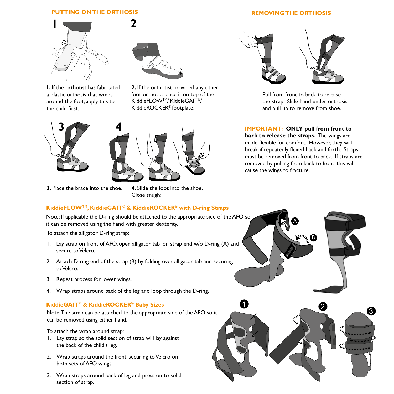# **PUTTING ON THE ORTHOSIS**



**I.** If the orthotist has fabricated a plastic orthosis that wraps around the foot, apply this to the child first.



**2.** If the orthotist provided any other foot orthotic, place it on top of the KiddieFLOWTM/KiddieGAIT®/ KiddieROCKER® footplate.





**3.** Place the brace into the shoe.

**4.** Slide the foot into the shoe. Close snugly.

# **REMOVING THE ORTHOSIS**



Pull from front to back to release the strap. Slide hand under orthosis and pull up to remove from shoe.

**IMPORTANT: ONLY pull from front to back to release the straps.** The wings are made flexible for comfort. However, they will break if repeatedly flexed back and forth. Straps must be removed from front to back. If straps are removed by pulling from back to front, this will cause the wings to fracture.

**KiddieFLOWTM, KiddieGAIT® & KiddieROCKER® with D-ring Straps**

Note: If applicable the D-ring should be attached to the appropriate side of the AFO so it can be removed using the hand with greater dexterity.

- 1. Lay strap on front of AFO, open alligator tab on strap end w/o D-ring (A) and secure to Velcro.
- 2. Attach D-ring end of the strap (B) by folding over alligator tab and securing to Velcro.
- 3. Repeat process for lower wings.
- 4. Wrap straps around back of the leg and loop through the D-ring.

# **KiddieGAIT® & KiddieROCKER® Baby Sizes**

Note: The strap can be attached to the appropriate side of the AFO so it can be removed using either hand.

To attach the wrap around strap:

- 1. Lay strap so the solid section of strap will lay against the back of the child's leg.
- 2. Wrap straps around the front, securing to Velcro on both sets of AFO wings.
- 3. Wrap straps around back of leg and press on to solid section of strap.